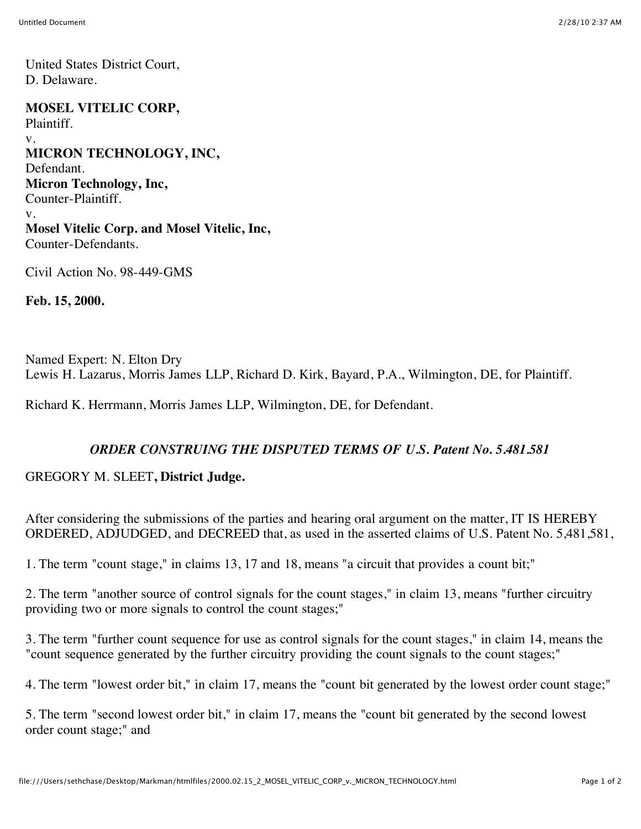United States District Court, D. Delaware.

**MOSEL VITELIC CORP,** Plaintiff. v. **MICRON TECHNOLOGY, INC,** Defendant. **Micron Technology, Inc,** Counter-Plaintiff. v. **Mosel Vitelic Corp. and Mosel Vitelic, Inc,** Counter-Defendants.

Civil Action No. 98-449-GMS

**Feb. 15, 2000.**

Named Expert: N. Elton Dry Lewis H. Lazarus, Morris James LLP, Richard D. Kirk, Bayard, P.A., Wilmington, DE, for Plaintiff.

Richard K. Herrmann, Morris James LLP, Wilmington, DE, for Defendant.

## *ORDER CONSTRUING THE DISPUTED TERMS OF U.S. Patent No. 5.481.581*

## GREGORY M. SLEET**, District Judge.**

After considering the submissions of the parties and hearing oral argument on the matter, IT IS HEREBY ORDERED, ADJUDGED, and DECREED that, as used in the asserted claims of U.S. Patent No. 5,481,581,

1. The term "count stage," in claims 13, 17 and 18, means "a circuit that provides a count bit;"

2. The term "another source of control signals for the count stages," in claim 13, means "further circuitry providing two or more signals to control the count stages;"

3. The term "further count sequence for use as control signals for the count stages," in claim 14, means the "count sequence generated by the further circuitry providing the count signals to the count stages;"

4. The term "lowest order bit," in claim 17, means the "count bit generated by the lowest order count stage;"

5. The term "second lowest order bit," in claim 17, means the "count bit generated by the second lowest order count stage;" and